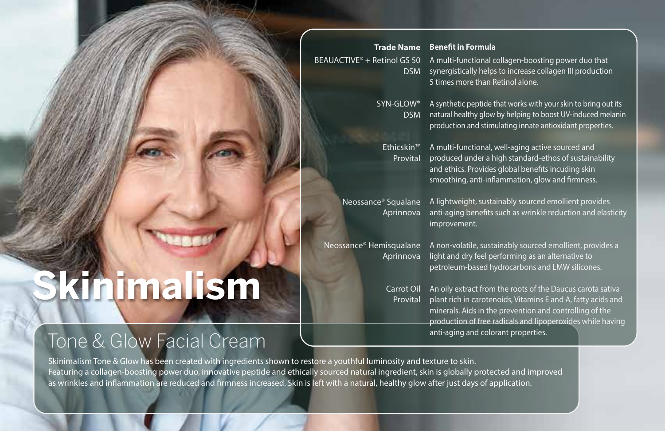|                                         | <b>Trade Name</b> |
|-----------------------------------------|-------------------|
| BEAUACTIVE <sup>®</sup> + Retinol GS 50 |                   |
|                                         | <b>DSM</b>        |

## **Benefit in Formula**

A multi-functional collagen-boosting power duo that synergistically helps to increase collagen III production 5 times more than Retinol alone.

SYN-GLOW® DSM

A synthetic peptide that works with your skin to bring out its natural healthy glow by helping to boost UV-induced melanin production and stimulating innate antioxidant properties.

Ethicskin™ Provital

A multi-functional, well-aging active sourced and produced under a high standard-ethos of sustainability and ethics. Provides global benefits incuding skin smoothing, anti-inflammation, glow and firmness.

Neossance® Squalane Aprinnova

A lightweight, sustainably sourced emollient provides anti-aging benefits such as wrinkle reduction and elasticity improvement.

Neossance® Hemisqualane Aprinnova

A non-volatile, sustainably sourced emollient, provides a light and dry feel performing as an alternative to petroleum-based hydrocarbons and LMW silicones.

An oily extract from the roots of the Daucus carota sativa plant rich in carotenoids, Vitamins E and A, fatty acids and minerals. Aids in the prevention and controlling of the production of free radicals and lipoperoxides while having anti-aging and colorant properties. Carrot Oil Provital

Skinimalism Tone & Glow has been created with ingredients shown to restore a youthful luminosity and texture to skin. Featuring a collagen-boosting power duo, innovative peptide and ethically sourced natural ingredient, skin is globally protected and improved as wrinkles and inflammation are reduced and firmness increased. Skin is left with a natural, healthy glow after just days of application.

## **Skinimalism**

Tone & Glow Facial Cream